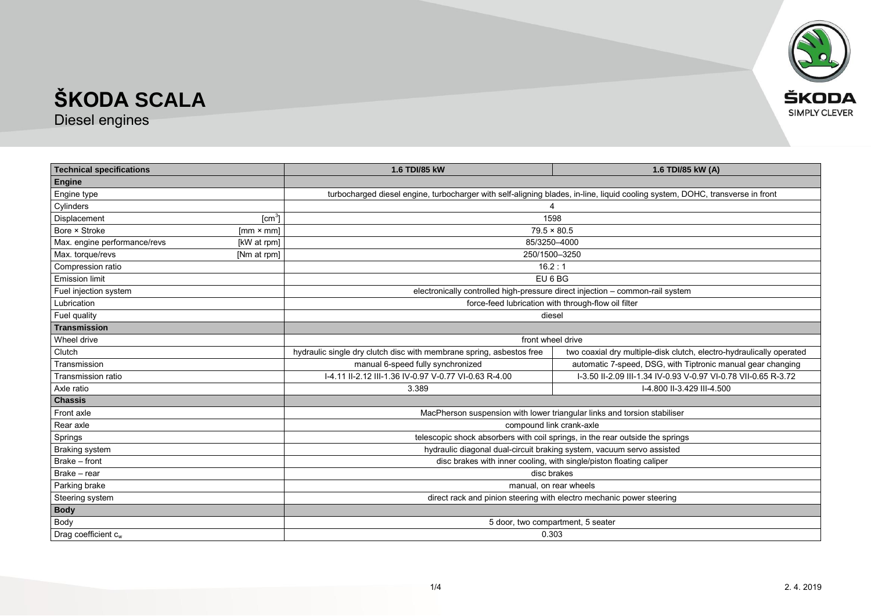

Diesel engines

| <b>Technical specifications</b> |                  | 1.6 TDI/85 kW                                                                                                                 | 1.6 TDI/85 kW (A)                                                    |  |
|---------------------------------|------------------|-------------------------------------------------------------------------------------------------------------------------------|----------------------------------------------------------------------|--|
| <b>Engine</b>                   |                  |                                                                                                                               |                                                                      |  |
| Engine type                     |                  | turbocharged diesel engine, turbocharger with self-aligning blades, in-line, liquid cooling system, DOHC, transverse in front |                                                                      |  |
| Cylinders                       |                  |                                                                                                                               |                                                                      |  |
| Displacement                    | $[cm^3]$         | 1598                                                                                                                          |                                                                      |  |
| Bore × Stroke                   | $[mm \times mm]$ | $79.5 \times 80.5$                                                                                                            |                                                                      |  |
| Max. engine performance/revs    | [kW at rpm]      | 85/3250-4000                                                                                                                  |                                                                      |  |
| Max. torque/revs                | [Nm at rpm]      | 250/1500-3250                                                                                                                 |                                                                      |  |
| Compression ratio               |                  | 16.2:1                                                                                                                        |                                                                      |  |
| <b>Emission limit</b>           |                  | EU 6 BG                                                                                                                       |                                                                      |  |
| Fuel injection system           |                  | electronically controlled high-pressure direct injection - common-rail system                                                 |                                                                      |  |
| Lubrication                     |                  | force-feed lubrication with through-flow oil filter                                                                           |                                                                      |  |
| Fuel quality                    |                  | diesel                                                                                                                        |                                                                      |  |
| <b>Transmission</b>             |                  |                                                                                                                               |                                                                      |  |
| Wheel drive                     |                  | front wheel drive                                                                                                             |                                                                      |  |
| Clutch                          |                  | hydraulic single dry clutch disc with membrane spring, asbestos free                                                          | two coaxial dry multiple-disk clutch, electro-hydraulically operated |  |
| Transmission                    |                  | manual 6-speed fully synchronized                                                                                             | automatic 7-speed, DSG, with Tiptronic manual gear changing          |  |
| Transmission ratio              |                  | I-4.11 II-2.12 III-1.36 IV-0.97 V-0.77 VI-0.63 R-4.00                                                                         | I-3.50 II-2.09 III-1.34 IV-0.93 V-0.97 VI-0.78 VII-0.65 R-3.72       |  |
| Axle ratio                      |                  | 3.389                                                                                                                         | I-4.800 II-3.429 III-4.500                                           |  |
| <b>Chassis</b>                  |                  |                                                                                                                               |                                                                      |  |
| Front axle                      |                  | MacPherson suspension with lower triangular links and torsion stabiliser                                                      |                                                                      |  |
| Rear axle                       |                  | compound link crank-axle                                                                                                      |                                                                      |  |
| Springs                         |                  | telescopic shock absorbers with coil springs, in the rear outside the springs                                                 |                                                                      |  |
| <b>Braking system</b>           |                  | hydraulic diagonal dual-circuit braking system, vacuum servo assisted                                                         |                                                                      |  |
| Brake - front                   |                  |                                                                                                                               | disc brakes with inner cooling, with single/piston floating caliper  |  |
| Brake - rear                    |                  | disc brakes                                                                                                                   |                                                                      |  |
| Parking brake                   |                  | manual, on rear wheels                                                                                                        |                                                                      |  |
| Steering system                 |                  | direct rack and pinion steering with electro mechanic power steering                                                          |                                                                      |  |
| <b>Body</b>                     |                  |                                                                                                                               |                                                                      |  |
| Body                            |                  | 5 door, two compartment, 5 seater                                                                                             |                                                                      |  |
| Drag coefficient cw             |                  | 0.303                                                                                                                         |                                                                      |  |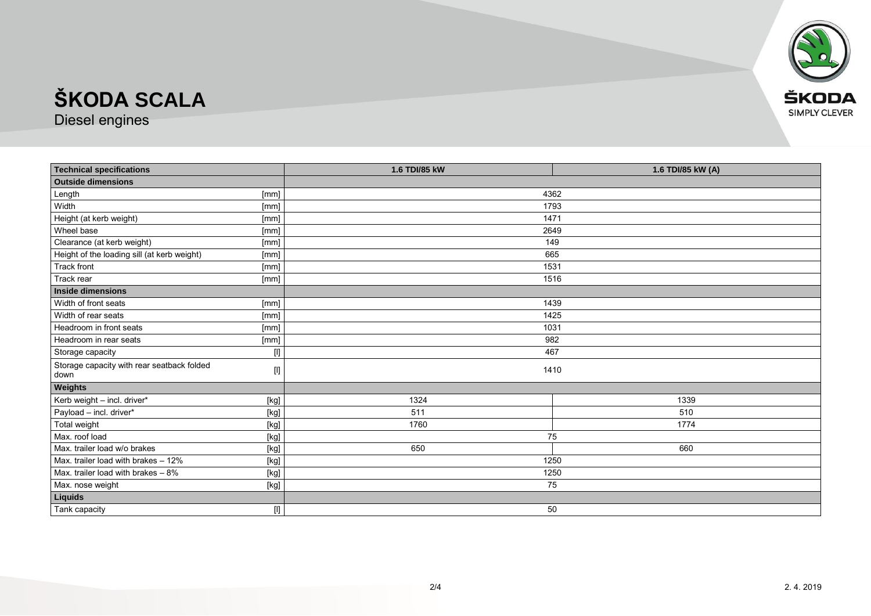

Diesel engines

| <b>Technical specifications</b>             |                                                                                                                                                                                                                                                                                                                                                                                                                                                                                                                                                                                                                                                                                                                                                                                                                                                                                | 1.6 TDI/85 kW | 1.6 TDI/85 kW (A) |  |
|---------------------------------------------|--------------------------------------------------------------------------------------------------------------------------------------------------------------------------------------------------------------------------------------------------------------------------------------------------------------------------------------------------------------------------------------------------------------------------------------------------------------------------------------------------------------------------------------------------------------------------------------------------------------------------------------------------------------------------------------------------------------------------------------------------------------------------------------------------------------------------------------------------------------------------------|---------------|-------------------|--|
| <b>Outside dimensions</b>                   |                                                                                                                                                                                                                                                                                                                                                                                                                                                                                                                                                                                                                                                                                                                                                                                                                                                                                |               |                   |  |
| Length                                      | [mm]                                                                                                                                                                                                                                                                                                                                                                                                                                                                                                                                                                                                                                                                                                                                                                                                                                                                           | 4362          |                   |  |
| Width                                       | [mm]                                                                                                                                                                                                                                                                                                                                                                                                                                                                                                                                                                                                                                                                                                                                                                                                                                                                           | 1793          |                   |  |
| Height (at kerb weight)                     | [mm]                                                                                                                                                                                                                                                                                                                                                                                                                                                                                                                                                                                                                                                                                                                                                                                                                                                                           | 1471          |                   |  |
| Wheel base                                  | [mm]                                                                                                                                                                                                                                                                                                                                                                                                                                                                                                                                                                                                                                                                                                                                                                                                                                                                           | 2649          |                   |  |
| Clearance (at kerb weight)                  | [mm]                                                                                                                                                                                                                                                                                                                                                                                                                                                                                                                                                                                                                                                                                                                                                                                                                                                                           | 149           |                   |  |
| Height of the loading sill (at kerb weight) | [mm]                                                                                                                                                                                                                                                                                                                                                                                                                                                                                                                                                                                                                                                                                                                                                                                                                                                                           | 665           |                   |  |
| <b>Track front</b>                          | [mm]                                                                                                                                                                                                                                                                                                                                                                                                                                                                                                                                                                                                                                                                                                                                                                                                                                                                           | 1531          |                   |  |
| Track rear                                  | [mm]                                                                                                                                                                                                                                                                                                                                                                                                                                                                                                                                                                                                                                                                                                                                                                                                                                                                           | 1516          |                   |  |
| <b>Inside dimensions</b>                    |                                                                                                                                                                                                                                                                                                                                                                                                                                                                                                                                                                                                                                                                                                                                                                                                                                                                                |               |                   |  |
| Width of front seats                        | [mm]                                                                                                                                                                                                                                                                                                                                                                                                                                                                                                                                                                                                                                                                                                                                                                                                                                                                           | 1439          |                   |  |
| Width of rear seats                         | [mm]                                                                                                                                                                                                                                                                                                                                                                                                                                                                                                                                                                                                                                                                                                                                                                                                                                                                           | 1425          |                   |  |
| Headroom in front seats                     | [mm]                                                                                                                                                                                                                                                                                                                                                                                                                                                                                                                                                                                                                                                                                                                                                                                                                                                                           | 1031          |                   |  |
| Headroom in rear seats                      | [mm]                                                                                                                                                                                                                                                                                                                                                                                                                                                                                                                                                                                                                                                                                                                                                                                                                                                                           | 982           |                   |  |
| Storage capacity                            |                                                                                                                                                                                                                                                                                                                                                                                                                                                                                                                                                                                                                                                                                                                                                                                                                                                                                | 467           |                   |  |
| Storage capacity with rear seatback folded  | $[] \centering \includegraphics[width=0.47\textwidth]{Figures/PD1.png} \caption{The 3D (black) model for the 3D (black) model. The left side is the same time. The right side is the same time. The right side is the same time. The right side is the same time. The right side is the same time. The right side is the same time. The right side is the same time. The right side is the same time. The right side is the same time. The right side is the same time. The right side is the same time. The right side is the same time. The right side is the same time. The right side is the same time. The right side is the same time. The right side is the same time. The right side is the same time. The right side is the same time. The right side is the same time. The right side is the same time. The right side is the same time. The right side is the same$ | 1410          |                   |  |
| down                                        |                                                                                                                                                                                                                                                                                                                                                                                                                                                                                                                                                                                                                                                                                                                                                                                                                                                                                |               |                   |  |
| Weights                                     |                                                                                                                                                                                                                                                                                                                                                                                                                                                                                                                                                                                                                                                                                                                                                                                                                                                                                |               |                   |  |
| Kerb weight - incl. driver*                 | [kg]                                                                                                                                                                                                                                                                                                                                                                                                                                                                                                                                                                                                                                                                                                                                                                                                                                                                           | 1324          | 1339              |  |
| Payload - incl. driver*                     | [kg]                                                                                                                                                                                                                                                                                                                                                                                                                                                                                                                                                                                                                                                                                                                                                                                                                                                                           | 511           | 510               |  |
| Total weight                                | [kg]                                                                                                                                                                                                                                                                                                                                                                                                                                                                                                                                                                                                                                                                                                                                                                                                                                                                           | 1760          | 1774              |  |
| Max. roof load                              | [kg]                                                                                                                                                                                                                                                                                                                                                                                                                                                                                                                                                                                                                                                                                                                                                                                                                                                                           | 75            |                   |  |
| Max. trailer load w/o brakes                | [kg]                                                                                                                                                                                                                                                                                                                                                                                                                                                                                                                                                                                                                                                                                                                                                                                                                                                                           | 650           | 660               |  |
| Max. trailer load with brakes - 12%         | $[kg] % \begin{center} % \includegraphics[width=\linewidth]{imagesSupplemental/Imetad-Architecture.png} % \end{center} % \caption { % \begin{subfigure}[M5]{0.23\textwidth} \includegraphics[width=\linewidth]{imagesSupplemental/Imetad-Architecture.png} } % \end{subfigure} % \begin{subfigure}[M5]{0.23\textwidth} \includegraphics[width=\linewidth]{imagesSupplemental/Imetad-Architecture.png} } % \end{subfigure} % \caption { % \begin{subfigure}[M5]{0.23\textwidth} \includegraphics[width=\linewidth]{imagesSupplemental/Imetad-Architecture.png} } % \end{subfigure} % \caption{ % \begin{subfigure}[M5]{0.23\textwidth} \includegraphics[width=\linewidth]{imagesSupplemental$                                                                                                                                                                                   | 1250          |                   |  |
| Max. trailer load with brakes $-8\%$        | $[kg] % \begin{center} % \includegraphics[width=\linewidth]{imagesSupplemental/Imetad-Architecture.png} % \end{center} % \caption { % \begin{subfigure}[M5]{0.23\textwidth} \includegraphics[width=\linewidth]{imagesSupplemental/Imetad-Architecture.png} } % \end{subfigure} % \begin{subfigure}[M5]{0.23\textwidth} \includegraphics[width=\linewidth]{imagesSupplemental/Imetad-Architecture.png} } % \end{subfigure} % \caption { % \begin{subfigure}[M5]{0.23\textwidth} \includegraphics[width=\linewidth]{imagesSupplemental/Imetad-Architecture.png} } % \end{subfigure} % \caption{ % \begin{subfigure}[M5]{0.23\textwidth} \includegraphics[width=\linewidth]{imagesSupplemental$                                                                                                                                                                                   | 1250          |                   |  |
| Max. nose weight                            | [kg]                                                                                                                                                                                                                                                                                                                                                                                                                                                                                                                                                                                                                                                                                                                                                                                                                                                                           | 75            |                   |  |
| Liquids                                     |                                                                                                                                                                                                                                                                                                                                                                                                                                                                                                                                                                                                                                                                                                                                                                                                                                                                                |               |                   |  |
| Tank capacity                               | $[] \centering \includegraphics[width=0.47\textwidth]{images/TrDiM1-Architecture.png} \caption{The 3D (top) and 4D (top) are used for the 3D (bottom) and 3D (bottom).} \label{TrDiM1-Architecture}$                                                                                                                                                                                                                                                                                                                                                                                                                                                                                                                                                                                                                                                                           | 50            |                   |  |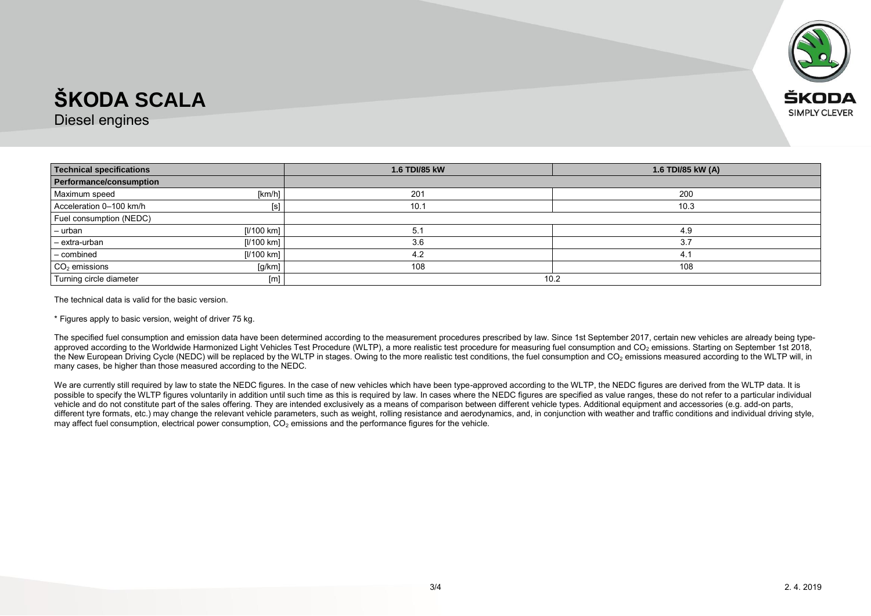

Diesel engines

| <b>Technical specifications</b> |            | 1.6 TDI/85 kW | 1.6 TDI/85 kW (A) |
|---------------------------------|------------|---------------|-------------------|
| Performance/consumption         |            |               |                   |
| Maximum speed                   | [km/h]     | 201           | 200               |
| Acceleration 0-100 km/h         | [s]        | 10.1          | 10.3              |
| Fuel consumption (NEDC)         |            |               |                   |
| - urban                         | [l/100 km] | 5.1           | 4.9               |
| - extra-urban                   | [l/100 km] | 3.6           | 3.7               |
| - combined                      | [1/100 km] | 4.2           | 4.                |
| $CO2$ emissions                 | [g/km]     | 108           | 108               |
| Turning circle diameter         | [m]        | 10.2          |                   |

The technical data is valid for the basic version.

\* Figures apply to basic version, weight of driver 75 kg.

The specified fuel consumption and emission data have been determined according to the measurement procedures prescribed by law. Since 1st September 2017, certain new vehicles are already being typeapproved according to the Worldwide Harmonized Light Vehicles Test Procedure (WLTP), a more realistic test procedure for measuring fuel consumption and CO<sub>2</sub> emissions. Starting on September 1st 2018, the New European Driving Cycle (NEDC) will be replaced by the WLTP in stages. Owing to the more realistic test conditions, the fuel consumption and CO<sub>2</sub> emissions measured according to the WLTP will, in many cases, be higher than those measured according to the NEDC.

We are currently still required by law to state the NEDC figures. In the case of new vehicles which have been type-approved according to the WLTP, the NEDC figures are derived from the WLTP data. It is possible to specify the WLTP figures voluntarily in addition until such time as this is required by law. In cases where the NEDC figures are specified as value ranges, these do not refer to a particular individual vehicle and do not constitute part of the sales offering. They are intended exclusively as a means of comparison between different vehicle types. Additional equipment and accessories (e.g. add-on parts, different tyre formats, etc.) may change the relevant vehicle parameters, such as weight, rolling resistance and aerodynamics, and, in conjunction with weather and traffic conditions and individual driving style, may affect fuel consumption, electrical power consumption,  $CO<sub>2</sub>$  emissions and the performance figures for the vehicle.